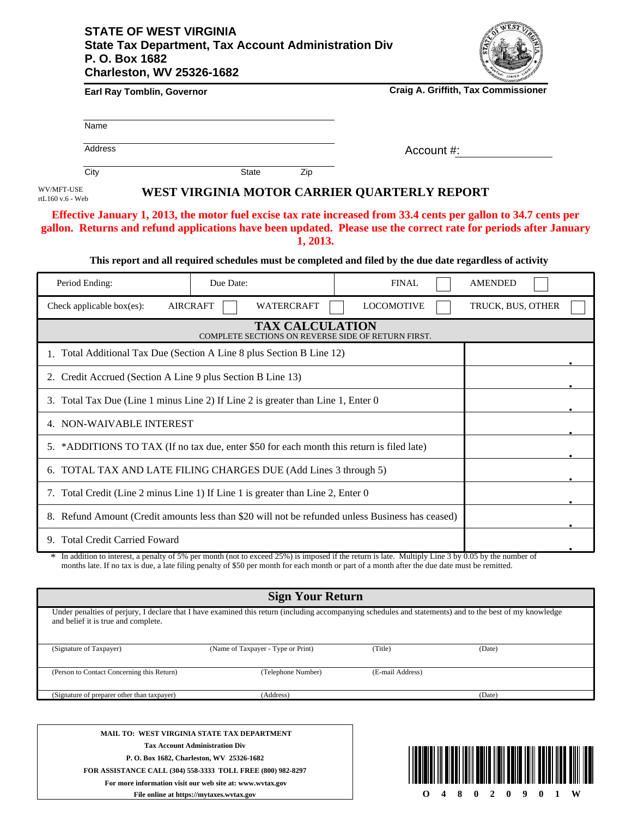## **STATE OF WEST VIRGINIA State Tax Department, Tax Account Administration Div P. O. Box 1682 Charleston, WV 25326-1682**



| Earl Ray Tomblin, Governor                                                                                                                                                                                                           |                                                    |                        | <b>Craig A. Griffith, Tax Commissioner</b>                                                                |                   |  |
|--------------------------------------------------------------------------------------------------------------------------------------------------------------------------------------------------------------------------------------|----------------------------------------------------|------------------------|-----------------------------------------------------------------------------------------------------------|-------------------|--|
| Name                                                                                                                                                                                                                                 |                                                    |                        |                                                                                                           |                   |  |
| <b>Address</b>                                                                                                                                                                                                                       |                                                    |                        | Account #:                                                                                                |                   |  |
| City                                                                                                                                                                                                                                 | <b>State</b>                                       | Zip                    |                                                                                                           |                   |  |
| WV/MFT-USE<br>rtL160 v.6 - Web                                                                                                                                                                                                       |                                                    |                        | WEST VIRGINIA MOTOR CARRIER QUARTERLY REPORT                                                              |                   |  |
| Effective January 1, 2013, the motor fuel excise tax rate increased from 33.4 cents per gallon to 34.7 cents per<br>gallon. Returns and refund applications have been updated. Please use the correct rate for periods after January |                                                    | 1, 2013.               | This report and all required schedules must be completed and filed by the due date regardless of activity |                   |  |
| Period Ending:                                                                                                                                                                                                                       | Due Date:                                          |                        | <b>FINAL</b>                                                                                              | <b>AMENDED</b>    |  |
| <b>AIRCRAFT</b><br>Check applicable box(es):                                                                                                                                                                                         | WATERCRAFT                                         |                        | <b>LOCOMOTIVE</b>                                                                                         | TRUCK, BUS, OTHER |  |
|                                                                                                                                                                                                                                      | COMPLETE SECTIONS ON REVERSE SIDE OF RETURN FIRST. | <b>TAX CALCULATION</b> |                                                                                                           |                   |  |
| 1. Total Additional Tax Due (Section A Line 8 plus Section B Line 12)                                                                                                                                                                |                                                    |                        |                                                                                                           |                   |  |
| 2. Credit Accrued (Section A Line 9 plus Section B Line 13)                                                                                                                                                                          |                                                    |                        |                                                                                                           |                   |  |
| 3. Total Tax Due (Line 1 minus Line 2) If Line 2 is greater than Line 1, Enter 0                                                                                                                                                     |                                                    |                        |                                                                                                           |                   |  |
| 4. NON-WAIVABLE INTEREST                                                                                                                                                                                                             |                                                    |                        |                                                                                                           |                   |  |
| 5. *ADDITIONS TO TAX (If no tax due, enter \$50 for each month this return is filed late)                                                                                                                                            |                                                    |                        |                                                                                                           |                   |  |
| 6. TOTAL TAX AND LATE FILING CHARGES DUE (Add Lines 3 through 5)                                                                                                                                                                     |                                                    |                        |                                                                                                           |                   |  |
| 7. Total Credit (Line 2 minus Line 1) If Line 1 is greater than Line 2, Enter 0                                                                                                                                                      |                                                    |                        |                                                                                                           |                   |  |
| 8. Refund Amount (Credit amounts less than \$20 will not be refunded unless Business has ceased)                                                                                                                                     |                                                    |                        |                                                                                                           |                   |  |
| 9. Total Credit Carried Foward                                                                                                                                                                                                       |                                                    |                        |                                                                                                           |                   |  |

In addition to interest, a penalty of 5% per month (not to exceed 25%) is imposed if the return is late. Multiply Line 3 by 0.05 by the number of In addition to interest, a penalty of 5% per month (not to exceed 25%) is imposed if the return is late. Multiply Line 3 by 0.05 by the num months late. If no tax is due, a late filing penalty of \$50 per month for each mon

| <b>Sign Your Return</b>                                                                                                                                                                         |                                    |                  |        |  |  |  |
|-------------------------------------------------------------------------------------------------------------------------------------------------------------------------------------------------|------------------------------------|------------------|--------|--|--|--|
| Under penalties of perjury, I declare that I have examined this return (including accompanying schedules and statements) and to the best of my knowledge<br>and belief it is true and complete. |                                    |                  |        |  |  |  |
| (Signature of Taxpayer)                                                                                                                                                                         | (Name of Taxpayer - Type or Print) | (Title)          | (Date) |  |  |  |
| (Person to Contact Concerning this Return)                                                                                                                                                      | (Telephone Number)                 | (E-mail Address) |        |  |  |  |
| (Signature of preparer other than taxpayer)                                                                                                                                                     | (Address)                          |                  | (Date) |  |  |  |
|                                                                                                                                                                                                 |                                    |                  |        |  |  |  |
|                                                                                                                                                                                                 |                                    |                  |        |  |  |  |

**MAIL TO: WEST VIRGINIA STATE TAX DEPARTMENT Tax Account Administration Div P. O. Box 1682, Charleston, WV 25326-1682 FOR ASSISTANCE CALL (304) 558-3333 TOLL FREE (800) 982-8297 For more information visit our web site at: www.wvtax.gov**



**File online at https://mytaxes.wvtax.gov**